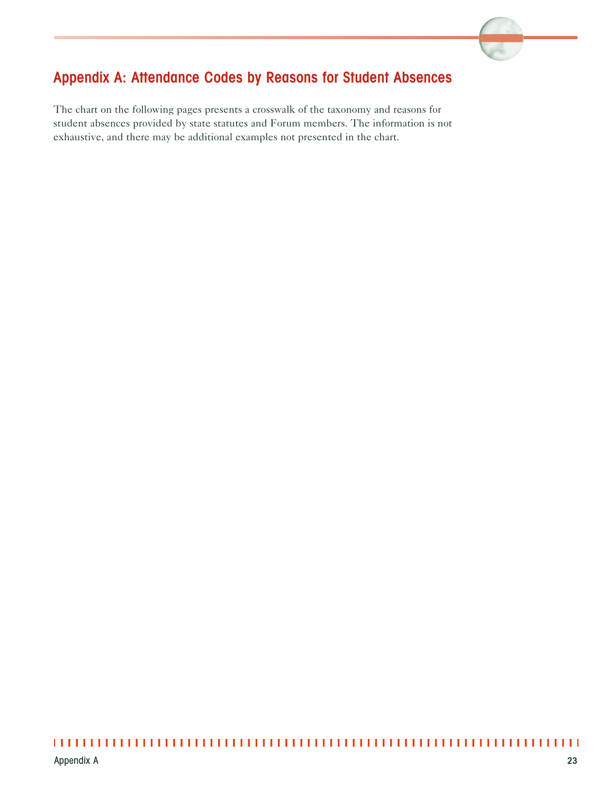

# **Appendix A: Attendance Codes by Reasons for Student Absences**

The chart on the following pages presents a crosswalk of the taxonomy and reasons for student absences provided by state statutes and Forum members. The information is not exhaustive, and there may be additional examples not presented in the chart.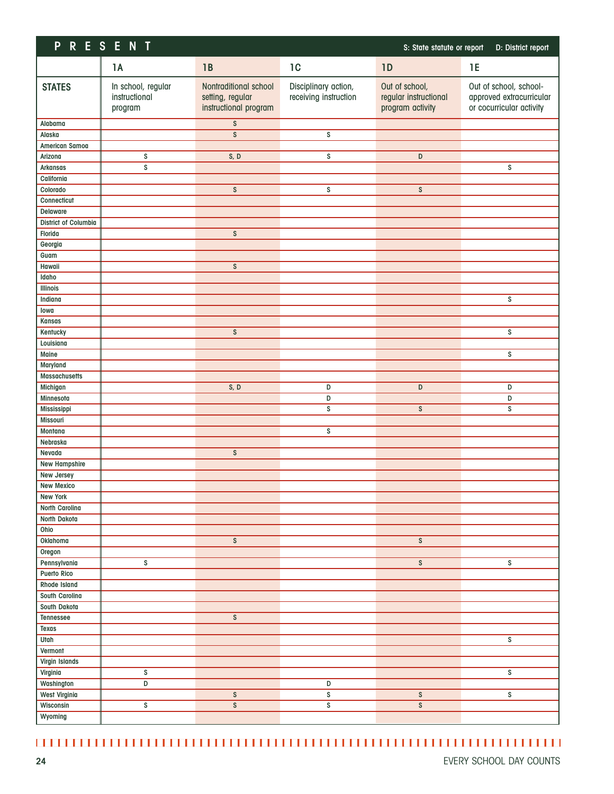| P                           | <b>RESENT</b>                                  |                                                                    |                                               | S: State statute or report                                  | D: District report                                                             |
|-----------------------------|------------------------------------------------|--------------------------------------------------------------------|-----------------------------------------------|-------------------------------------------------------------|--------------------------------------------------------------------------------|
|                             | <b>1A</b>                                      | 1B                                                                 | 1C                                            | <b>1D</b>                                                   | 1E                                                                             |
| <b>STATES</b>               | In school, regular<br>instructional<br>program | Nontraditional school<br>setting, regular<br>instructional program | Disciplinary action,<br>receiving instruction | Out of school,<br>regular instructional<br>program activity | Out of school, school-<br>approved extracurricular<br>or cocurricular activity |
| Alabama                     |                                                | $\mathsf S$                                                        |                                               |                                                             |                                                                                |
| Alaska                      |                                                | $\mathsf S$                                                        | S                                             |                                                             |                                                                                |
| <b>American Samoa</b>       |                                                |                                                                    |                                               |                                                             |                                                                                |
| Arizona                     | S                                              | S, D                                                               | S                                             | D                                                           |                                                                                |
| <b>Arkansas</b>             | $\mathsf S$                                    |                                                                    |                                               |                                                             | S                                                                              |
| California                  |                                                |                                                                    |                                               |                                                             |                                                                                |
| Colorado                    |                                                | $\mathsf S$                                                        | S                                             | ${\sf S}$                                                   |                                                                                |
| Connecticut                 |                                                |                                                                    |                                               |                                                             |                                                                                |
| Delaware                    |                                                |                                                                    |                                               |                                                             |                                                                                |
| <b>District of Columbia</b> |                                                |                                                                    |                                               |                                                             |                                                                                |
| <b>Florida</b>              |                                                | $\mathsf S$                                                        |                                               |                                                             |                                                                                |
| Georgia                     |                                                |                                                                    |                                               |                                                             |                                                                                |
| Guam                        |                                                |                                                                    |                                               |                                                             |                                                                                |
| Hawaii                      |                                                | $\mathsf S$                                                        |                                               |                                                             |                                                                                |
| Idaho                       |                                                |                                                                    |                                               |                                                             |                                                                                |
| Illinois                    |                                                |                                                                    |                                               |                                                             |                                                                                |
| Indiana                     |                                                |                                                                    |                                               |                                                             | S                                                                              |
| lowa                        |                                                |                                                                    |                                               |                                                             |                                                                                |
| Kansas                      |                                                |                                                                    |                                               |                                                             |                                                                                |
| Kentucky                    |                                                | ${\sf S}$                                                          |                                               |                                                             | S                                                                              |
| Louisiana                   |                                                |                                                                    |                                               |                                                             |                                                                                |
| Maine                       |                                                |                                                                    |                                               |                                                             | S                                                                              |
| Maryland                    |                                                |                                                                    |                                               |                                                             |                                                                                |
| <b>Massachusetts</b>        |                                                |                                                                    |                                               |                                                             |                                                                                |
| Michigan                    |                                                | S, D                                                               | D                                             | D                                                           | D                                                                              |
| Minnesota                   |                                                |                                                                    | D                                             |                                                             | D                                                                              |
| Mississippi                 |                                                |                                                                    | S                                             | ${\sf S}$                                                   | S                                                                              |
| Missouri                    |                                                |                                                                    |                                               |                                                             |                                                                                |
| Montana                     |                                                |                                                                    | S                                             |                                                             |                                                                                |
| Nebraska                    |                                                |                                                                    |                                               |                                                             |                                                                                |
| Nevada                      |                                                | $\mathsf S$                                                        |                                               |                                                             |                                                                                |
| <b>New Hampshire</b>        |                                                |                                                                    |                                               |                                                             |                                                                                |
| New Jersey                  |                                                |                                                                    |                                               |                                                             |                                                                                |
| <b>New Mexico</b>           |                                                |                                                                    |                                               |                                                             |                                                                                |
| <b>New York</b>             |                                                |                                                                    |                                               |                                                             |                                                                                |
| North Carolina              |                                                |                                                                    |                                               |                                                             |                                                                                |
| North Dakota                |                                                |                                                                    |                                               |                                                             |                                                                                |
| Ohio                        |                                                |                                                                    |                                               |                                                             |                                                                                |
| Oklahoma                    |                                                | $\mathsf S$                                                        |                                               | $\mathsf{s}$                                                |                                                                                |
| Oregon                      |                                                |                                                                    |                                               |                                                             |                                                                                |
| Pennsylvania                | S                                              |                                                                    |                                               | $\mathsf S$                                                 | S                                                                              |
| <b>Puerto Rico</b>          |                                                |                                                                    |                                               |                                                             |                                                                                |
| Rhode Island                |                                                |                                                                    |                                               |                                                             |                                                                                |
| South Carolina              |                                                |                                                                    |                                               |                                                             |                                                                                |
| South Dakota                |                                                |                                                                    |                                               |                                                             |                                                                                |
| Tennessee                   |                                                | $\mathsf S$                                                        |                                               |                                                             |                                                                                |
| Texas                       |                                                |                                                                    |                                               |                                                             |                                                                                |
| Utah                        |                                                |                                                                    |                                               |                                                             | S                                                                              |
| Vermont                     |                                                |                                                                    |                                               |                                                             |                                                                                |
| <b>Virgin Islands</b>       |                                                |                                                                    |                                               |                                                             |                                                                                |
| Virginia                    | $\mathsf S$                                    |                                                                    |                                               |                                                             | S                                                                              |
| Washington                  | D                                              |                                                                    | D                                             |                                                             |                                                                                |
| <b>West Virginia</b>        |                                                | $\mathsf S$                                                        | $\overline{\mathsf{s}}$                       | ${\sf S}$                                                   | S                                                                              |
| Wisconsin                   | S                                              | $\mathsf S$                                                        | S                                             | S                                                           |                                                                                |
| Wyoming                     |                                                |                                                                    |                                               |                                                             |                                                                                |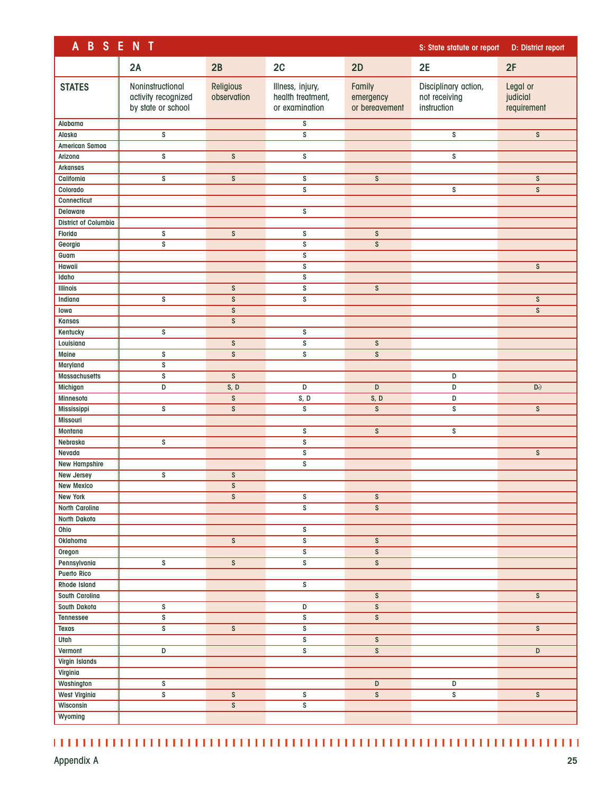| $\pmb B$<br>S<br>A                      | $N$ T<br>-E                                                   |                                 |                                                         |                                       | S: State statute or report                           | D: District report                  |
|-----------------------------------------|---------------------------------------------------------------|---------------------------------|---------------------------------------------------------|---------------------------------------|------------------------------------------------------|-------------------------------------|
|                                         | 2A                                                            | 2B                              | 2C                                                      | 2D                                    | 2E                                                   | 2F                                  |
| <b>STATES</b>                           | Noninstructional<br>activity recognized<br>by state or school | <b>Religious</b><br>observation | Illness, injury,<br>health treatment,<br>or examination | Family<br>emergency<br>or bereavement | Disciplinary action,<br>not receiving<br>instruction | Legal or<br>judicial<br>requirement |
| Alabama                                 |                                                               |                                 | S                                                       |                                       |                                                      |                                     |
| Alaska                                  | S                                                             |                                 | S                                                       |                                       | S                                                    | $\mathsf S$                         |
| <b>American Samoa</b>                   |                                                               |                                 |                                                         |                                       |                                                      |                                     |
| Arizona                                 | S                                                             | ${\sf S}$                       | S                                                       |                                       | S                                                    |                                     |
| <b>Arkansas</b>                         |                                                               |                                 |                                                         |                                       |                                                      |                                     |
| California                              | S                                                             | $\mathsf{s}$                    | $\mathsf S$                                             | S                                     |                                                      | $\mathsf S$                         |
| Colorado                                |                                                               |                                 | $\mathsf S$                                             |                                       | ${\sf S}$                                            | ${\sf S}$                           |
| Connecticut                             |                                                               |                                 |                                                         |                                       |                                                      |                                     |
| <b>Delaware</b><br>District of Columbia |                                                               |                                 | $\mathsf S$                                             |                                       |                                                      |                                     |
| Florida                                 | S                                                             | ${\sf s}$                       | $\mathsf S$                                             | S                                     |                                                      |                                     |
| Georgia                                 | S                                                             |                                 | $\mathsf S$                                             | $\mathsf S$                           |                                                      |                                     |
| Guam                                    |                                                               |                                 | $\mathsf S$                                             |                                       |                                                      |                                     |
| Hawaii                                  |                                                               |                                 | $\mathsf S$                                             |                                       |                                                      | $\mathsf S$                         |
| Idaho                                   |                                                               |                                 | $\mathsf S$                                             |                                       |                                                      |                                     |
| <b>Illinois</b>                         |                                                               | ${\sf s}$                       | $\mathsf S$                                             | ${\sf S}$                             |                                                      |                                     |
| Indiana                                 | S                                                             | $\mathsf{s}$                    | $\mathsf S$                                             |                                       |                                                      | ${\sf S}$                           |
| lowa                                    |                                                               | S                               |                                                         |                                       |                                                      | $\sf S$                             |
| Kansas                                  |                                                               | $\mathsf{s}$                    |                                                         |                                       |                                                      |                                     |
| Kentucky                                | S                                                             |                                 | $\mathsf S$                                             |                                       |                                                      |                                     |
| Louisiana                               |                                                               | ${\sf S}$                       | S                                                       | ${\sf S}$                             |                                                      |                                     |
| Maine                                   | S                                                             | S                               | $\mathsf S$                                             | ${\sf S}$                             |                                                      |                                     |
| Maryland                                | S                                                             |                                 |                                                         |                                       |                                                      |                                     |
| <b>Massachusetts</b>                    | S                                                             | ${\sf s}$                       |                                                         |                                       | D                                                    |                                     |
| Michigan                                | D                                                             | S, D                            | D                                                       | D                                     | D                                                    | $D\partial$                         |
| Minnesota                               |                                                               | $\mathsf{s}$                    | S, D                                                    | S, D                                  | D                                                    |                                     |
| Mississippi                             | S                                                             | $\mathsf{s}$                    | $\mathsf S$                                             | $\mathsf s$                           | S                                                    | ${\sf S}$                           |
| Missouri                                |                                                               |                                 |                                                         |                                       |                                                      |                                     |
| <b>Montana</b>                          |                                                               |                                 | $\mathsf S$                                             | ${\sf S}$                             | $\mathsf S$                                          |                                     |
| Nebraska                                | S                                                             |                                 | $\mathsf S$                                             |                                       |                                                      |                                     |
| Nevada                                  |                                                               |                                 | S                                                       |                                       |                                                      | $\mathsf S$                         |
| <b>New Hampshire</b>                    |                                                               |                                 | S                                                       |                                       |                                                      |                                     |
| New Jersey                              | S                                                             | $\mathsf{s}$                    |                                                         |                                       |                                                      |                                     |
| <b>New Mexico</b><br><b>New York</b>    |                                                               | s<br>S                          | S                                                       | $\mathsf{s}$                          |                                                      |                                     |
| North Carolina                          |                                                               |                                 | S                                                       | $\mathsf{s}$                          |                                                      |                                     |
| North Dakota                            |                                                               |                                 |                                                         |                                       |                                                      |                                     |
| Ohio                                    |                                                               |                                 | S                                                       |                                       |                                                      |                                     |
| Oklahoma                                |                                                               | $\mathsf{s}$                    | $\mathsf S$                                             | $\mathsf S$                           |                                                      |                                     |
| Oregon                                  |                                                               |                                 | ${\sf S}$                                               | $\overline{\mathsf{s}}$               |                                                      |                                     |
| Pennsylvania                            | S                                                             | $\mathsf S$                     | S                                                       | $\mathsf S$                           |                                                      |                                     |
| <b>Puerto Rico</b>                      |                                                               |                                 |                                                         |                                       |                                                      |                                     |
| <b>Rhode Island</b>                     |                                                               |                                 | S                                                       |                                       |                                                      |                                     |
| South Carolina                          |                                                               |                                 |                                                         | S                                     |                                                      | ${\sf S}$                           |
| South Dakota                            | S                                                             |                                 | D                                                       | $\mathsf{s}$                          |                                                      |                                     |
| <b>Tennessee</b>                        | S                                                             |                                 | $\mathsf S$                                             | $\mathsf S$                           |                                                      |                                     |
| Texas                                   | S                                                             | S                               | ${\sf S}$                                               |                                       |                                                      | $\mathsf S$                         |
| Utah                                    |                                                               |                                 | S                                                       | $\mathsf{s}$                          |                                                      |                                     |
| Vermont                                 | D                                                             |                                 | S                                                       | $\mathsf{s}$                          |                                                      | D                                   |
| <b>Virgin Islands</b>                   |                                                               |                                 |                                                         |                                       |                                                      |                                     |
| Virginia                                |                                                               |                                 |                                                         |                                       |                                                      |                                     |
| Washington                              | S                                                             |                                 |                                                         | D                                     | D                                                    |                                     |
| <b>West Virginia</b>                    | $\overline{\mathsf{s}}$                                       | $\mathsf S$                     | $\mathsf S$                                             | $\sf S$                               | $\overline{\mathsf{s}}$                              | $\mathsf{s}$                        |
| Wisconsin                               |                                                               | S                               | ${\sf S}$                                               |                                       |                                                      |                                     |
| Wyoming                                 |                                                               |                                 |                                                         |                                       |                                                      |                                     |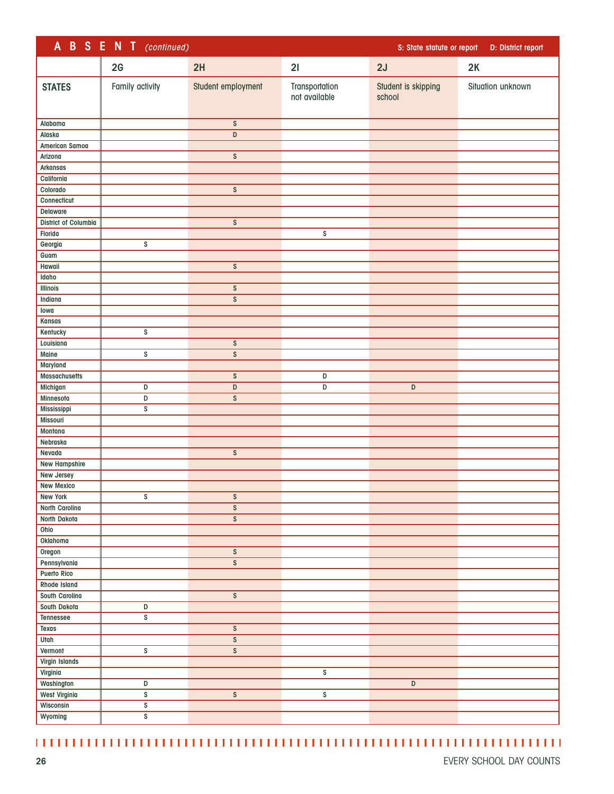|                             | A B S E N T (continued) |                            | S: State statute or report<br><b>D: District report</b> |                               |                   |
|-----------------------------|-------------------------|----------------------------|---------------------------------------------------------|-------------------------------|-------------------|
|                             | 2G                      | 2H                         | 21                                                      | 2J                            | 2K                |
| <b>STATES</b>               | Family activity         | Student employment         | Transportation<br>not available                         | Student is skipping<br>school | Situation unknown |
| Alabama                     |                         | ${\sf S}$                  |                                                         |                               |                   |
| Alaska                      |                         | D                          |                                                         |                               |                   |
| American Samoa              |                         |                            |                                                         |                               |                   |
| Arizona                     |                         | $\mathsf S$                |                                                         |                               |                   |
| <b>Arkansas</b>             |                         |                            |                                                         |                               |                   |
| California                  |                         |                            |                                                         |                               |                   |
| Colorado                    |                         | $\mathsf S$                |                                                         |                               |                   |
| Connecticut                 |                         |                            |                                                         |                               |                   |
| Delaware                    |                         |                            |                                                         |                               |                   |
| <b>District of Columbia</b> |                         | $\mathsf S$                |                                                         |                               |                   |
| Florida                     |                         |                            | S                                                       |                               |                   |
| Georgia                     | ${\sf S}$               |                            |                                                         |                               |                   |
| Guam                        |                         |                            |                                                         |                               |                   |
| Hawaii                      |                         | $\mathsf S$                |                                                         |                               |                   |
| Idaho                       |                         |                            |                                                         |                               |                   |
| <b>Illinois</b><br>Indiana  |                         | $\mathsf S$<br>$\mathsf S$ |                                                         |                               |                   |
| lowa                        |                         |                            |                                                         |                               |                   |
| <b>Kansas</b>               |                         |                            |                                                         |                               |                   |
| Kentucky                    | ${\sf S}$               |                            |                                                         |                               |                   |
| Louisiana                   |                         | $\mathsf S$                |                                                         |                               |                   |
| <b>Maine</b>                | S                       | $\mathsf S$                |                                                         |                               |                   |
| <b>Maryland</b>             |                         |                            |                                                         |                               |                   |
| Massachusetts               |                         | $\mathsf S$                | D                                                       |                               |                   |
| Michigan                    | D                       | D                          | D                                                       | D                             |                   |
| Minnesota                   | D                       | ${\sf s}$                  |                                                         |                               |                   |
| Mississippi                 | S                       |                            |                                                         |                               |                   |
| <b>Missouri</b>             |                         |                            |                                                         |                               |                   |
| <b>Montana</b>              |                         |                            |                                                         |                               |                   |
| Nebraska                    |                         |                            |                                                         |                               |                   |
| Nevada                      |                         | $\mathsf S$                |                                                         |                               |                   |
| <b>New Hampshire</b>        |                         |                            |                                                         |                               |                   |
| <b>New Jersey</b>           |                         |                            |                                                         |                               |                   |
| <b>New Mexico</b>           |                         |                            |                                                         |                               |                   |
| <b>New York</b>             | $\mathsf S$             | $\mathsf S$                |                                                         |                               |                   |
| North Carolina              |                         | ${\sf s}$                  |                                                         |                               |                   |
| North Dakota                |                         | $\mathsf S$                |                                                         |                               |                   |
| Ohio                        |                         |                            |                                                         |                               |                   |
| Oklahoma                    |                         |                            |                                                         |                               |                   |
| Oregon<br>Pennsylvania      |                         | $\mathsf S$<br>$\mathsf S$ |                                                         |                               |                   |
| <b>Puerto Rico</b>          |                         |                            |                                                         |                               |                   |
| <b>Rhode Island</b>         |                         |                            |                                                         |                               |                   |
| South Carolina              |                         | $\mathsf S$                |                                                         |                               |                   |
| South Dakota                | D                       |                            |                                                         |                               |                   |
| Tennessee                   | S                       |                            |                                                         |                               |                   |
| Texas                       |                         | $\mathsf S$                |                                                         |                               |                   |
| Utah                        |                         | ${\sf s}$                  |                                                         |                               |                   |
| Vermont                     | S                       | $\overline{\mathsf{s}}$    |                                                         |                               |                   |
| <b>Virgin Islands</b>       |                         |                            |                                                         |                               |                   |
| Virginia                    |                         |                            | s                                                       |                               |                   |
| Washington                  | D                       |                            |                                                         | $\overline{D}$                |                   |
| <b>West Virginia</b>        | S                       | $\mathsf S$                | S                                                       |                               |                   |
| Wisconsin                   | ${\sf S}$               |                            |                                                         |                               |                   |
| Wyoming                     | $\overline{s}$          |                            |                                                         |                               |                   |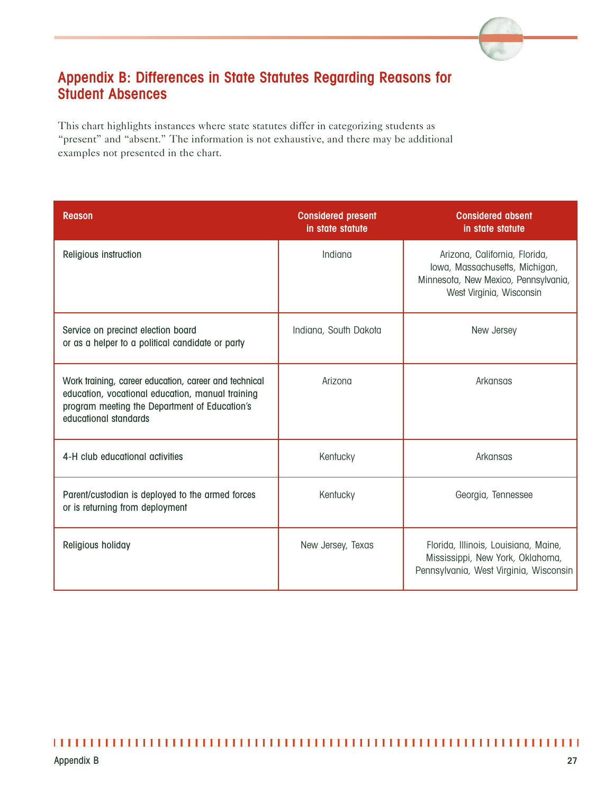

# **Appendix B: Differences in State Statutes Regarding Reasons for Student Absences**

This chart highlights instances where state statutes differ in categorizing students as "present" and "absent." The information is not exhaustive, and there may be additional examples not presented in the chart.

| <b>Reason</b>                                                                                                                                                                       | <b>Considered present</b><br>in state statute | <b>Considered absent</b><br>in state statute                                                                                        |
|-------------------------------------------------------------------------------------------------------------------------------------------------------------------------------------|-----------------------------------------------|-------------------------------------------------------------------------------------------------------------------------------------|
| Religious instruction                                                                                                                                                               | Indiana                                       | Arizona, California, Florida,<br>lowa, Massachusetts, Michigan,<br>Minnesota, New Mexico, Pennsylvania,<br>West Virginia, Wisconsin |
| Service on precinct election board<br>or as a helper to a political candidate or party                                                                                              | Indiana, South Dakota                         | New Jersey                                                                                                                          |
| Work training, career education, career and technical<br>education, vocational education, manual training<br>program meeting the Department of Education's<br>educational standards | Arizona                                       | Arkansas                                                                                                                            |
| 4-H club educational activities                                                                                                                                                     | Kentucky                                      | Arkansas                                                                                                                            |
| Parent/custodian is deployed to the armed forces<br>or is returning from deployment                                                                                                 | Kentucky                                      | Georgia, Tennessee                                                                                                                  |
| Religious holiday                                                                                                                                                                   | New Jersey, Texas                             | Florida, Illinois, Louisiana, Maine,<br>Mississippi, New York, Oklahoma,<br>Pennsylvania, West Virginia, Wisconsin                  |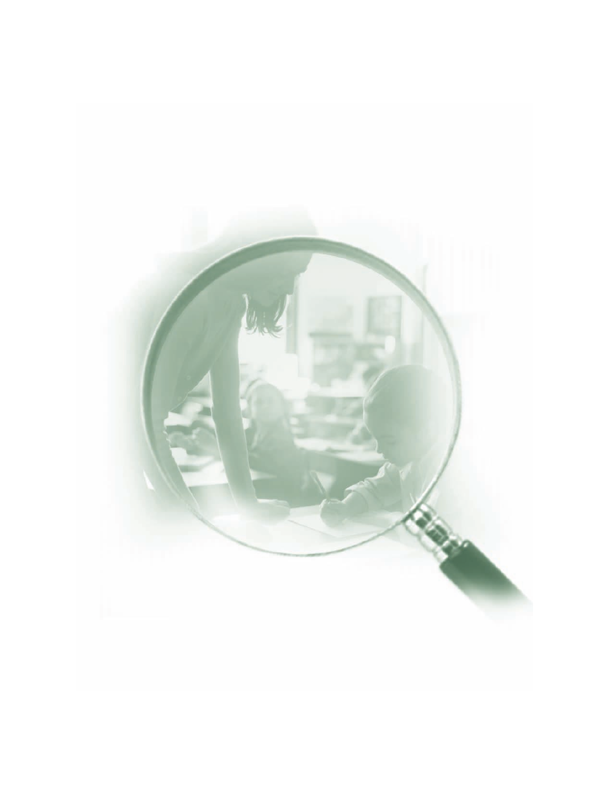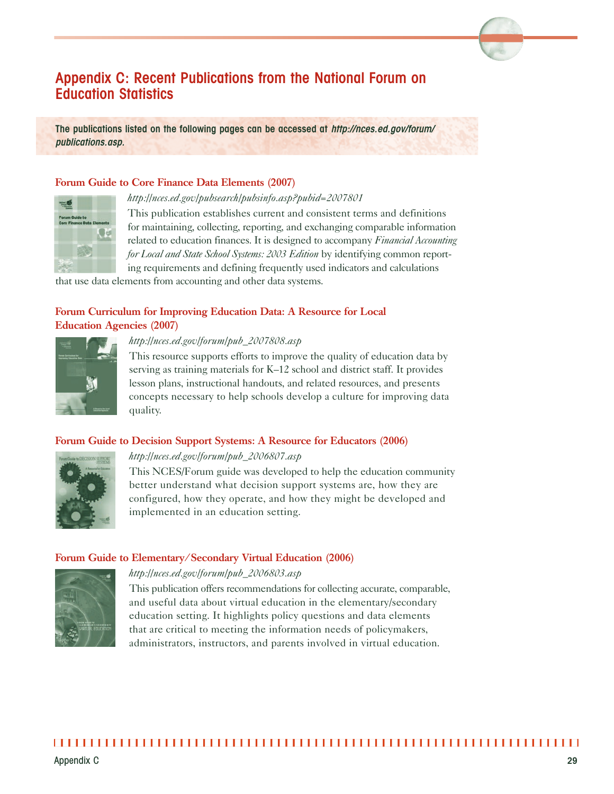# **Appendix C: Recent Publications from the National Forum on Education Statistics**

**The publications listed on the following pages can be accessed at http://nces.ed.gov/forum/ publications.asp.**

#### **Forum Guide to Core Finance Data Elements (2007)**



*http://nces.ed.gov/pubsearch/pubsinfo.asp?pubid=2007801* 

This publication establishes current and consistent terms and definitions for maintaining, collecting, reporting, and exchanging comparable information related to education finances. It is designed to accompany *Financial Accounting for Local and State School Systems: 2003 Edition* by identifying common reporting requirements and defining frequently used indicators and calculations

that use data elements from accounting and other data systems.

## **Forum Curriculum for Improving Education Data: A Resource for Local Education Agencies (2007)**



#### *http://nces.ed.gov/forum/pub\_2007808.asp*

This resource supports efforts to improve the quality of education data by serving as training materials for K–12 school and district staff. It provides lesson plans, instructional handouts, and related resources, and presents concepts necessary to help schools develop a culture for improving data quality.

### **Forum Guide to Decision Support Systems: A Resource for Educators (2006)**



### *http://nces.ed.gov/forum/pub\_2006807.asp*

This NCES/Forum guide was developed to help the education community better understand what decision support systems are, how they are configured, how they operate, and how they might be developed and implemented in an education setting.

### **Forum Guide to Elementary/Secondary Virtual Education (2006)**



#### *http://nces.ed.gov/forum/pub\_2006803.asp*

This publication offers recommendations for collecting accurate, comparable, and useful data about virtual education in the elementary/secondary education setting. It highlights policy questions and data elements that are critical to meeting the information needs of policymakers, administrators, instructors, and parents involved in virtual education.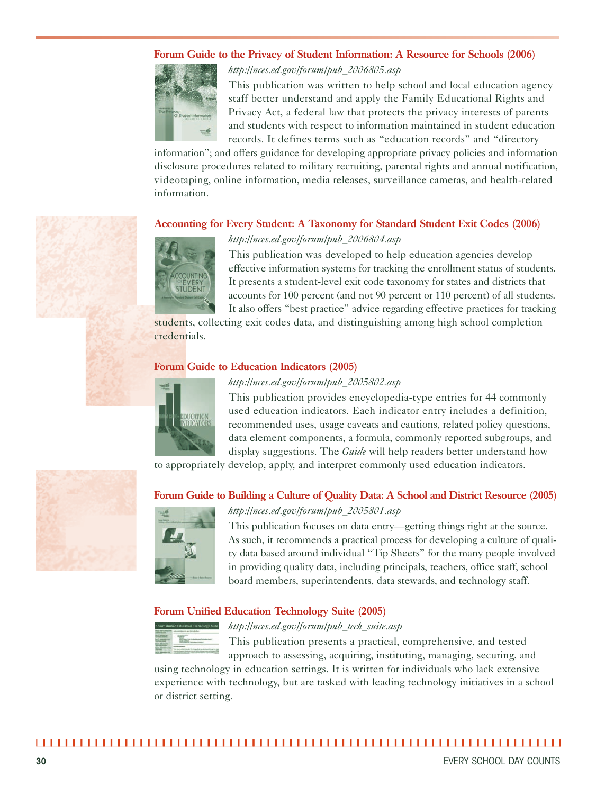## **Forum Guide to the Privacy of Student Information: A Resource for Schools (2006)**



*http://nces.ed.gov/forum/pub\_2006805.asp*

This publication was written to help school and local education agency staff better understand and apply the Family Educational Rights and Privacy Act, a federal law that protects the privacy interests of parents and students with respect to information maintained in student education records. It defines terms such as "education records" and "directory

information"; and offers guidance for developing appropriate privacy policies and information disclosure procedures related to military recruiting, parental rights and annual notification, videotaping, online information, media releases, surveillance cameras, and health-related information.

## **Accounting for Every Student: A Taxonomy for Standard Student Exit Codes (2006)**



*http://nces.ed.gov/forum/pub\_2006804.asp*  This publication was developed to help education agencies develop effective information systems for tracking the enrollment status of students. It presents a student-level exit code taxonomy for states and districts that accounts for 100 percent (and not 90 percent or 110 percent) of all students.

It also offers "best practice" advice regarding effective practices for tracking students, collecting exit codes data, and distinguishing among high school completion credentials.

### **Forum Guide to Education Indicators (2005)**



*http://nces.ed.gov/forum/pub\_2005802.asp* This publication provides encyclopedia-type entries for 44 commonly

used education indicators. Each indicator entry includes a definition, recommended uses, usage caveats and cautions, related policy questions, data element components, a formula, commonly reported subgroups, and display suggestions. The *Guide* will help readers better understand how

to appropriately develop, apply, and interpret commonly used education indicators.

## **Forum Guide to Building a Culture of Quality Data: A School and District Resource (2005)**



*http://nces.ed.gov/forum/pub\_2005801.asp* 

This publication focuses on data entry—getting things right at the source. As such, it recommends a practical process for developing a culture of quality data based around individual "Tip Sheets" for the many people involved in providing quality data, including principals, teachers, office staff, school board members, superintendents, data stewards, and technology staff.

### **Forum Unified Education Technology Suite (2005)**



*http://nces.ed.gov/forum/pub\_tech\_suite.asp*

This publication presents a practical, comprehensive, and tested approach to assessing, acquiring, instituting, managing, securing, and

using technology in education settings. It is written for individuals who lack extensive experience with technology, but are tasked with leading technology initiatives in a school or district setting.

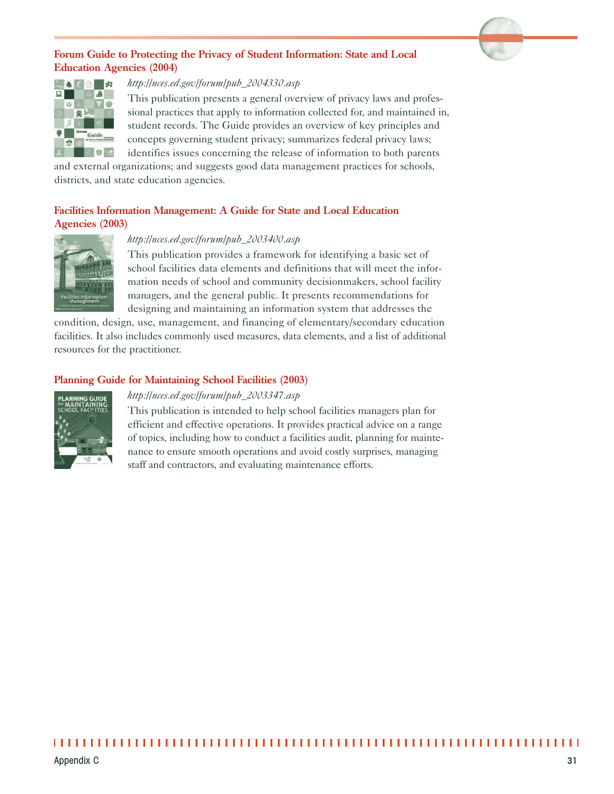## **Forum Guide to Protecting the Privacy of Student Information: State and Local Education Agencies (2004)**



## *http://nces.ed.gov/forum/pub\_2004330.asp*

This publication presents a general overview of privacy laws and professional practices that apply to information collected for, and maintained in, student records. The Guide provides an overview of key principles and concepts governing student privacy; summarizes federal privacy laws; identifies issues concerning the release of information to both parents

and external organizations; and suggests good data management practices for schools, districts, and state education agencies.

## **Facilities Information Management: A Guide for State and Local Education Agencies (2003)**



## *http://nces.ed.gov/forum/pub\_2003400.asp*

This publication provides a framework for identifying a basic set of school facilities data elements and definitions that will meet the information needs of school and community decisionmakers, school facility managers, and the general public. It presents recommendations for designing and maintaining an information system that addresses the

condition, design, use, management, and financing of elementary/secondary education facilities. It also includes commonly used measures, data elements, and a list of additional resources for the practitioner.

## **Planning Guide for Maintaining School Facilities (2003)**



## *http://nces.ed.gov/forum/pub\_2003347.asp*

This publication is intended to help school facilities managers plan for efficient and effective operations. It provides practical advice on a range of topics, including how to conduct a facilities audit, planning for maintenance to ensure smooth operations and avoid costly surprises, managing staff and contractors, and evaluating maintenance efforts.